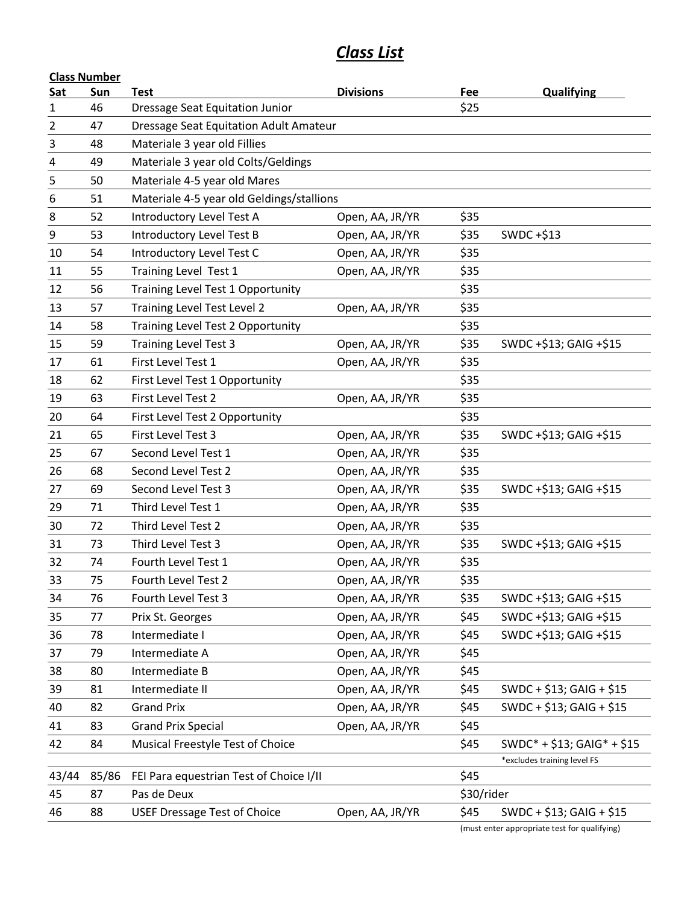# *Class List*

|       | <b>Class Number</b> |                                           |                  |            |                                              |  |  |  |
|-------|---------------------|-------------------------------------------|------------------|------------|----------------------------------------------|--|--|--|
| Sat   | Sun                 | <b>Test</b>                               | <b>Divisions</b> | Fee        | <b>Qualifying</b>                            |  |  |  |
| 1     | 46                  | <b>Dressage Seat Equitation Junior</b>    |                  | \$25       |                                              |  |  |  |
| 2     | 47                  | Dressage Seat Equitation Adult Amateur    |                  |            |                                              |  |  |  |
| 3     | 48                  | Materiale 3 year old Fillies              |                  |            |                                              |  |  |  |
| 4     | 49                  | Materiale 3 year old Colts/Geldings       |                  |            |                                              |  |  |  |
| 5     | 50                  | Materiale 4-5 year old Mares              |                  |            |                                              |  |  |  |
| 6     | 51                  | Materiale 4-5 year old Geldings/stallions |                  |            |                                              |  |  |  |
| 8     | 52                  | Introductory Level Test A                 | Open, AA, JR/YR  | \$35       |                                              |  |  |  |
| 9     | 53                  | Introductory Level Test B                 | Open, AA, JR/YR  | \$35       | SWDC +\$13                                   |  |  |  |
| 10    | 54                  | Introductory Level Test C                 | Open, AA, JR/YR  | \$35       |                                              |  |  |  |
| 11    | 55                  | Training Level Test 1                     | Open, AA, JR/YR  | \$35       |                                              |  |  |  |
| 12    | 56                  | Training Level Test 1 Opportunity         |                  | \$35       |                                              |  |  |  |
| 13    | 57                  | Training Level Test Level 2               | Open, AA, JR/YR  | \$35       |                                              |  |  |  |
| 14    | 58                  | Training Level Test 2 Opportunity         |                  | \$35       |                                              |  |  |  |
| 15    | 59                  | <b>Training Level Test 3</b>              | Open, AA, JR/YR  | \$35       | SWDC +\$13; GAIG +\$15                       |  |  |  |
| 17    | 61                  | First Level Test 1                        | Open, AA, JR/YR  | \$35       |                                              |  |  |  |
| 18    | 62                  | First Level Test 1 Opportunity            |                  | \$35       |                                              |  |  |  |
| 19    | 63                  | First Level Test 2                        | Open, AA, JR/YR  | \$35       |                                              |  |  |  |
| 20    | 64                  | First Level Test 2 Opportunity            |                  | \$35       |                                              |  |  |  |
| 21    | 65                  | First Level Test 3                        | Open, AA, JR/YR  | \$35       | SWDC +\$13; GAIG +\$15                       |  |  |  |
| 25    | 67                  | Second Level Test 1                       | Open, AA, JR/YR  | \$35       |                                              |  |  |  |
| 26    | 68                  | Second Level Test 2                       | Open, AA, JR/YR  | \$35       |                                              |  |  |  |
| 27    | 69                  | Second Level Test 3                       | Open, AA, JR/YR  | \$35       | SWDC +\$13; GAIG +\$15                       |  |  |  |
| 29    | 71                  | Third Level Test 1                        | Open, AA, JR/YR  | \$35       |                                              |  |  |  |
| 30    | 72                  | Third Level Test 2                        | Open, AA, JR/YR  | \$35       |                                              |  |  |  |
| 31    | 73                  | Third Level Test 3                        | Open, AA, JR/YR  | \$35       | SWDC +\$13; GAIG +\$15                       |  |  |  |
| 32    | 74                  | Fourth Level Test 1                       | Open, AA, JR/YR  | \$35       |                                              |  |  |  |
| 33    | 75                  | Fourth Level Test 2                       | Open, AA, JR/YR  | \$35       |                                              |  |  |  |
| 34    | 76                  | Fourth Level Test 3                       | Open, AA, JR/YR  | \$35       | SWDC +\$13; GAIG +\$15                       |  |  |  |
| 35    | 77                  | Prix St. Georges                          | Open, AA, JR/YR  | \$45       | SWDC +\$13; GAIG +\$15                       |  |  |  |
| 36    | 78                  | Intermediate I                            | Open, AA, JR/YR  | \$45       | SWDC +\$13; GAIG +\$15                       |  |  |  |
| 37    | 79                  | Intermediate A                            | Open, AA, JR/YR  | \$45       |                                              |  |  |  |
| 38    | 80                  | Intermediate B                            | Open, AA, JR/YR  | \$45       |                                              |  |  |  |
| 39    | 81                  | Intermediate II                           | Open, AA, JR/YR  | \$45       | SWDC + \$13; GAIG + \$15                     |  |  |  |
| 40    | 82                  | <b>Grand Prix</b>                         | Open, AA, JR/YR  | \$45       | SWDC + \$13; GAIG + \$15                     |  |  |  |
| 41    | 83                  | <b>Grand Prix Special</b>                 | Open, AA, JR/YR  | \$45       |                                              |  |  |  |
| 42    | 84                  | Musical Freestyle Test of Choice          |                  | \$45       | $SWDC* + $13; GAlG* + $15$                   |  |  |  |
|       |                     |                                           |                  |            | *excludes training level FS                  |  |  |  |
| 43/44 | 85/86               | FEI Para equestrian Test of Choice I/II   |                  | \$45       |                                              |  |  |  |
| 45    | 87                  | Pas de Deux                               |                  | \$30/rider |                                              |  |  |  |
| 46    | 88                  | <b>USEF Dressage Test of Choice</b>       | Open, AA, JR/YR  | \$45       | SWDC + \$13; GAIG + \$15                     |  |  |  |
|       |                     |                                           |                  |            | (must enter appropriate test for qualifying) |  |  |  |

(must enter appropriate test for qualifying)